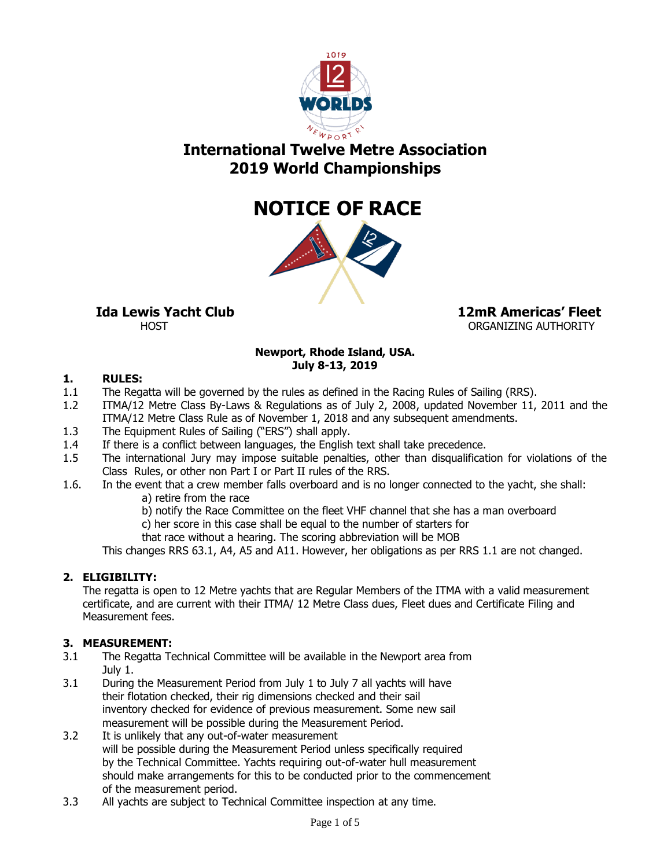

# **International Twelve Metre Association 2019 World Championships**



 **Ida Lewis Yacht Club 12mR Americas' Fleet** HOST THE STATE ORGANIZING AUTHORITY

# **Newport, Rhode Island, USA. July 8-13, 2019**

# **1. RULES:**

- 1.1 The Regatta will be governed by the rules as defined in the Racing Rules of Sailing (RRS).
- 1.2 ITMA/12 Metre Class By-Laws & Regulations as of July 2, 2008, updated November 11, 2011 and the ITMA/12 Metre Class Rule as of November 1, 2018 and any subsequent amendments.
- 1.3 The Equipment Rules of Sailing ("ERS") shall apply.
- 1.4 If there is a conflict between languages, the English text shall take precedence.
- 1.5 The international Jury may impose suitable penalties, other than disqualification for violations of the Class Rules, or other non Part I or Part II rules of the RRS.
- 1.6. In the event that a crew member falls overboard and is no longer connected to the yacht, she shall: a) retire from the race
	- b) notify the Race Committee on the fleet VHF channel that she has a man overboard
	- c) her score in this case shall be equal to the number of starters for
	- that race without a hearing. The scoring abbreviation will be MOB

This changes RRS 63.1, A4, A5 and A11. However, her obligations as per RRS 1.1 are not changed.

# **2. ELIGIBILITY:**

The regatta is open to 12 Metre yachts that are Regular Members of the ITMA with a valid measurement certificate, and are current with their ITMA/ 12 Metre Class dues, Fleet dues and Certificate Filing and Measurement fees.

### **3. MEASUREMENT:**

- 3.1 The Regatta Technical Committee will be available in the Newport area from July 1.
- 3.1 During the Measurement Period from July 1 to July 7 all yachts will have their flotation checked, their rig dimensions checked and their sail inventory checked for evidence of previous measurement. Some new sail measurement will be possible during the Measurement Period.
- 3.2 It is unlikely that any out-of-water measurement will be possible during the Measurement Period unless specifically required by the Technical Committee. Yachts requiring out-of-water hull measurement should make arrangements for this to be conducted prior to the commencement of the measurement period.
- 3.3 All yachts are subject to Technical Committee inspection at any time.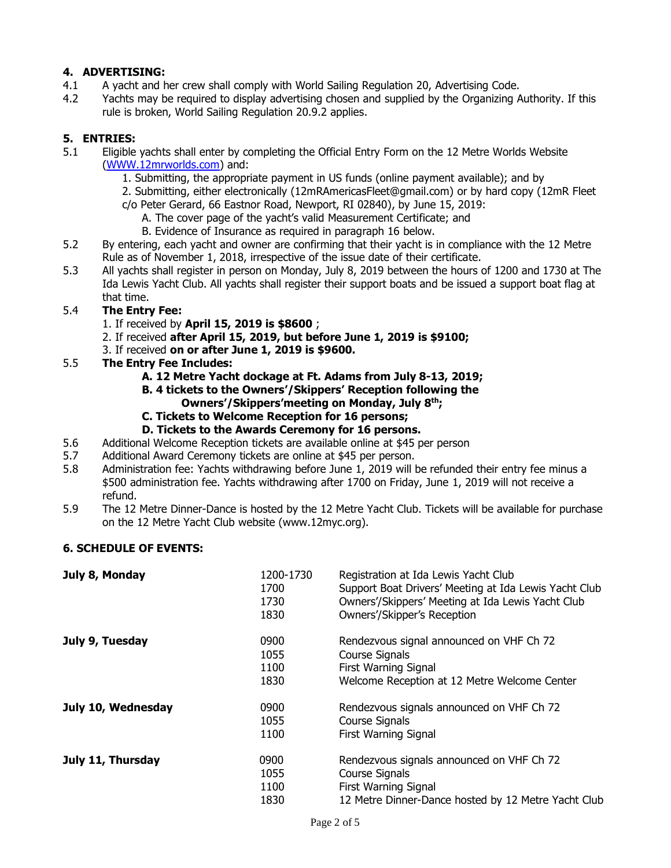# **4. ADVERTISING:**

- 4.1 A yacht and her crew shall comply with World Sailing Regulation 20, Advertising Code.
- 4.2 Yachts may be required to display advertising chosen and supplied by the Organizing Authority. If this rule is broken, World Sailing Regulation 20.9.2 applies.

# **5. ENTRIES:**

- 5.1 Eligible yachts shall enter by completing the Official Entry Form on the 12 Metre Worlds Website [\(WWW.12mrworlds.com\)](http://www.12mrworlds.com/) and:
	- 1. Submitting, the appropriate payment in US funds (online payment available); and by
	- 2. Submitting, either electronically (12mRAmericasFleet@gmail.com) or by hard copy (12mR Fleet c/o Peter Gerard, 66 Eastnor Road, Newport, RI 02840), by June 15, 2019:
		- A. The cover page of the yacht's valid Measurement Certificate; and
		- B. Evidence of Insurance as required in paragraph 16 below.
- 5.2 By entering, each yacht and owner are confirming that their yacht is in compliance with the 12 Metre Rule as of November 1, 2018, irrespective of the issue date of their certificate.
- 5.3 All yachts shall register in person on Monday, July 8, 2019 between the hours of 1200 and 1730 at The Ida Lewis Yacht Club. All yachts shall register their support boats and be issued a support boat flag at that time.

# 5.4 **The Entry Fee:**

- 1. If received by **April 15, 2019 is \$8600** ;
- 2. If received **after April 15, 2019, but before June 1, 2019 is \$9100;**
- 3. If received **on or after June 1, 2019 is \$9600.**
- 5.5 **The Entry Fee Includes:**
	- **A. 12 Metre Yacht dockage at Ft. Adams from July 8-13, 2019;**
	- **B. 4 tickets to the Owners'/Skippers' Reception following the Owners'/Skippers'meeting on Monday, July 8th;**
	- **C. Tickets to Welcome Reception for 16 persons;**
	- **D. Tickets to the Awards Ceremony for 16 persons.**
- 5.6 Additional Welcome Reception tickets are available online at \$45 per person
- 5.7 Additional Award Ceremony tickets are online at \$45 per person.
- 5.8 Administration fee: Yachts withdrawing before June 1, 2019 will be refunded their entry fee minus a \$500 administration fee. Yachts withdrawing after 1700 on Friday, June 1, 2019 will not receive a refund.
- 5.9 The 12 Metre Dinner-Dance is hosted by the 12 Metre Yacht Club. Tickets will be available for purchase on the 12 Metre Yacht Club website (www.12myc.org).

### **6. SCHEDULE OF EVENTS:**

| July 8, Monday     | 1200-1730<br>1700 | Registration at Ida Lewis Yacht Club<br>Support Boat Drivers' Meeting at Ida Lewis Yacht Club |
|--------------------|-------------------|-----------------------------------------------------------------------------------------------|
|                    | 1730              | Owners'/Skippers' Meeting at Ida Lewis Yacht Club                                             |
|                    | 1830              | Owners'/Skipper's Reception                                                                   |
| July 9, Tuesday    | 0900              | Rendezvous signal announced on VHF Ch 72                                                      |
|                    | 1055              | Course Signals                                                                                |
|                    | 1100              | First Warning Signal                                                                          |
|                    | 1830              | Welcome Reception at 12 Metre Welcome Center                                                  |
| July 10, Wednesday | 0900              | Rendezvous signals announced on VHF Ch 72                                                     |
|                    | 1055              | Course Signals                                                                                |
|                    | 1100              | First Warning Signal                                                                          |
| July 11, Thursday  | 0900              | Rendezvous signals announced on VHF Ch 72                                                     |
|                    | 1055              | Course Signals                                                                                |
|                    | 1100              | First Warning Signal                                                                          |
|                    | 1830              | 12 Metre Dinner-Dance hosted by 12 Metre Yacht Club                                           |
|                    |                   |                                                                                               |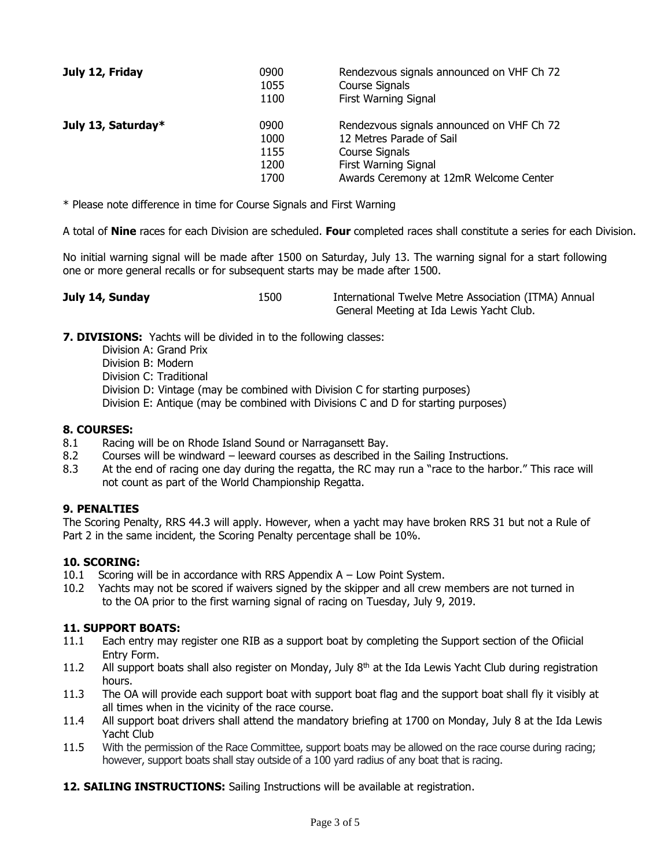| July 12, Friday    | 0900<br>1055<br>1100 | Rendezvous signals announced on VHF Ch 72<br>Course Signals<br>First Warning Signal     |
|--------------------|----------------------|-----------------------------------------------------------------------------------------|
| July 13, Saturday* | 0900<br>1000<br>1155 | Rendezvous signals announced on VHF Ch 72<br>12 Metres Parade of Sail<br>Course Signals |
|                    | 1200<br>1700         | First Warning Signal<br>Awards Ceremony at 12mR Welcome Center                          |

\* Please note difference in time for Course Signals and First Warning

A total of **Nine** races for each Division are scheduled. **Four** completed races shall constitute a series for each Division.

No initial warning signal will be made after 1500 on Saturday, July 13. The warning signal for a start following one or more general recalls or for subsequent starts may be made after 1500.

| July 14, Sunday | 1500 | International Twelve Metre Association (ITMA) Annual |
|-----------------|------|------------------------------------------------------|
|                 |      | General Meeting at Ida Lewis Yacht Club.             |

**7. DIVISIONS:** Yachts will be divided in to the following classes:

Division A: Grand Prix Division B: Modern Division C: Traditional Division D: Vintage (may be combined with Division C for starting purposes) Division E: Antique (may be combined with Divisions C and D for starting purposes)

#### **8. COURSES:**

- 8.1 Racing will be on Rhode Island Sound or Narragansett Bay.
- 8.2 Courses will be windward leeward courses as described in the Sailing Instructions.
- 8.3 At the end of racing one day during the regatta, the RC may run a "race to the harbor." This race will not count as part of the World Championship Regatta.

### **9. PENALTIES**

The Scoring Penalty, RRS 44.3 will apply. However, when a yacht may have broken RRS 31 but not a Rule of Part 2 in the same incident, the Scoring Penalty percentage shall be 10%.

#### **10. SCORING:**

- 10.1 Scoring will be in accordance with RRS Appendix A Low Point System.
- 10.2 Yachts may not be scored if waivers signed by the skipper and all crew members are not turned in to the OA prior to the first warning signal of racing on Tuesday, July 9, 2019.

#### **11. SUPPORT BOATS:**

- 11.1 Each entry may register one RIB as a support boat by completing the Support section of the Ofiicial Entry Form.
- 11.2 All support boats shall also register on Monday, July  $8<sup>th</sup>$  at the Ida Lewis Yacht Club during registration hours.
- 11.3 The OA will provide each support boat with support boat flag and the support boat shall fly it visibly at all times when in the vicinity of the race course.
- 11.4 All support boat drivers shall attend the mandatory briefing at 1700 on Monday, July 8 at the Ida Lewis Yacht Club
- 11.5 With the permission of the Race Committee, support boats may be allowed on the race course during racing; however, support boats shall stay outside of a 100 yard radius of any boat that is racing.
- **12. SAILING INSTRUCTIONS:** Sailing Instructions will be available at registration.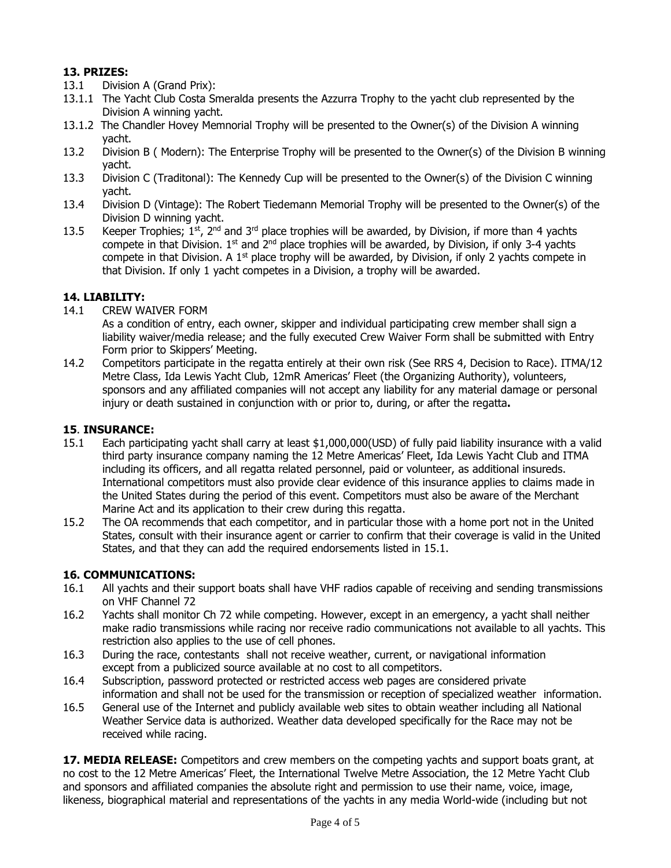# **13. PRIZES:**

- 13.1 Division A (Grand Prix):
- 13.1.1 The Yacht Club Costa Smeralda presents the Azzurra Trophy to the yacht club represented by the Division A winning yacht.
- 13.1.2 The Chandler Hovey Memnorial Trophy will be presented to the Owner(s) of the Division A winning yacht.
- 13.2 Division B ( Modern): The Enterprise Trophy will be presented to the Owner(s) of the Division B winning yacht.
- 13.3 Division C (Traditonal): The Kennedy Cup will be presented to the Owner(s) of the Division C winning yacht.
- 13.4 Division D (Vintage): The Robert Tiedemann Memorial Trophy will be presented to the Owner(s) of the Division D winning yacht.
- 13.5 Keeper Trophies;  $1^{st}$ ,  $2^{nd}$  and  $3^{rd}$  place trophies will be awarded, by Division, if more than 4 yachts compete in that Division.  $1^{st}$  and  $2^{nd}$  place trophies will be awarded, by Division, if only 3-4 yachts compete in that Division. A  $1<sup>st</sup>$  place trophy will be awarded, by Division, if only 2 yachts compete in that Division. If only 1 yacht competes in a Division, a trophy will be awarded.

# **14. LIABILITY:**

14.1 CREW WAIVER FORM

As a condition of entry, each owner, skipper and individual participating crew member shall sign a liability waiver/media release; and the fully executed Crew Waiver Form shall be submitted with Entry Form prior to Skippers' Meeting.

14.2 Competitors participate in the regatta entirely at their own risk (See RRS 4, Decision to Race). ITMA/12 Metre Class, Ida Lewis Yacht Club, 12mR Americas' Fleet (the Organizing Authority), volunteers, sponsors and any affiliated companies will not accept any liability for any material damage or personal injury or death sustained in conjunction with or prior to, during, or after the regatta**.**

### **15**. **INSURANCE:**

- 15.1 Each participating yacht shall carry at least \$1,000,000(USD) of fully paid liability insurance with a valid third party insurance company naming the 12 Metre Americas' Fleet, Ida Lewis Yacht Club and ITMA including its officers, and all regatta related personnel, paid or volunteer, as additional insureds. International competitors must also provide clear evidence of this insurance applies to claims made in the United States during the period of this event. Competitors must also be aware of the Merchant Marine Act and its application to their crew during this regatta.
- 15.2 The OA recommends that each competitor, and in particular those with a home port not in the United States, consult with their insurance agent or carrier to confirm that their coverage is valid in the United States, and that they can add the required endorsements listed in 15.1.

# **16. COMMUNICATIONS:**

- 16.1 All yachts and their support boats shall have VHF radios capable of receiving and sending transmissions on VHF Channel 72
- 16.2 Yachts shall monitor Ch 72 while competing. However, except in an emergency, a yacht shall neither make radio transmissions while racing nor receive radio communications not available to all yachts. This restriction also applies to the use of cell phones.
- 16.3 During the race, contestants shall not receive weather, current, or navigational information except from a publicized source available at no cost to all competitors.
- 16.4 Subscription, password protected or restricted access web pages are considered private information and shall not be used for the transmission or reception of specialized weather information.
- 16.5 General use of the Internet and publicly available web sites to obtain weather including all National Weather Service data is authorized. Weather data developed specifically for the Race may not be received while racing.

**17. MEDIA RELEASE:** Competitors and crew members on the competing yachts and support boats grant, at no cost to the 12 Metre Americas' Fleet, the International Twelve Metre Association, the 12 Metre Yacht Club and sponsors and affiliated companies the absolute right and permission to use their name, voice, image, likeness, biographical material and representations of the yachts in any media World-wide (including but not